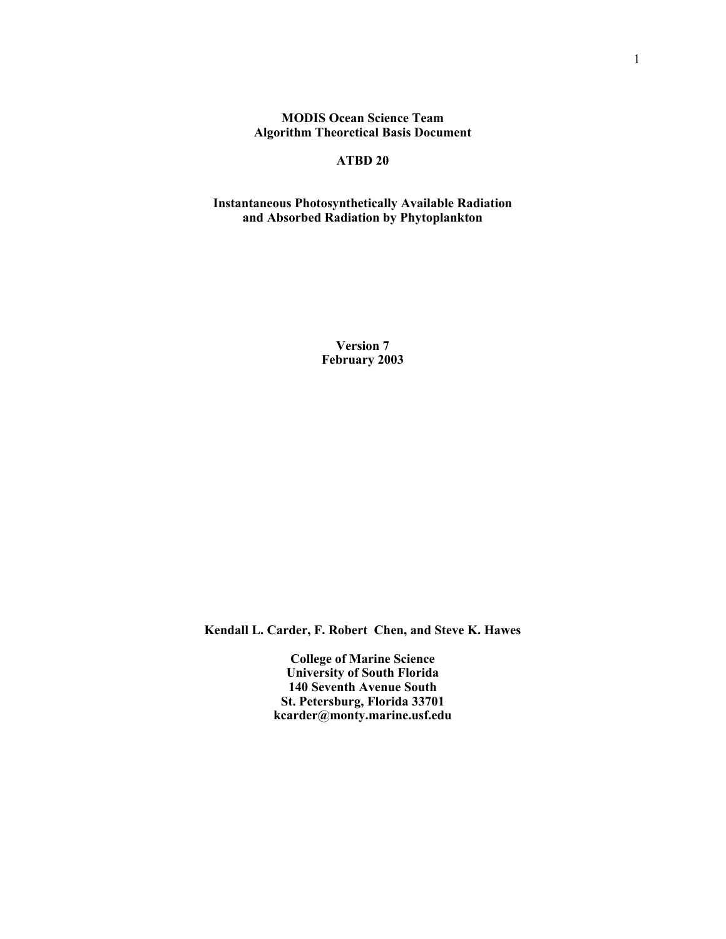**MODIS Ocean Science Team Algorithm Theoretical Basis Document** 

## **ATBD 20**

## **Instantaneous Photosynthetically Available Radiation and Absorbed Radiation by Phytoplankton**

**Version 7 February 2003** 

**Kendall L. Carder, F. Robert Chen, and Steve K. Hawes** 

**College of Marine Science University of South Florida 140 Seventh Avenue South St. Petersburg, Florida 33701 kcarder@monty.marine.usf.edu**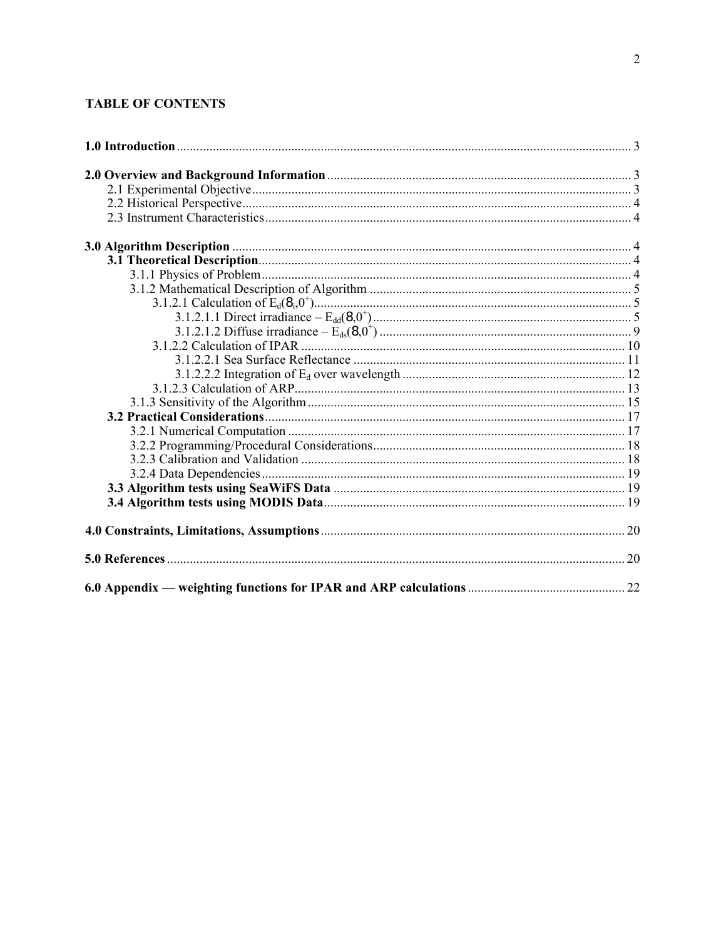# **TABLE OF CONTENTS**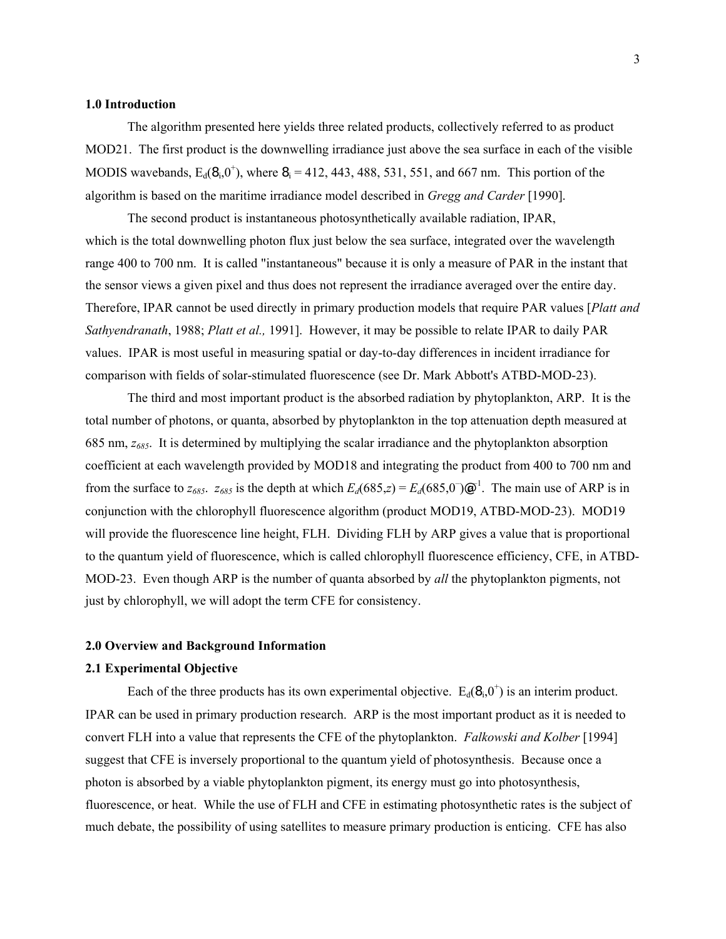## **1.0 Introduction**

The algorithm presented here yields three related products, collectively referred to as product MOD21. The first product is the downwelling irradiance just above the sea surface in each of the visible MODIS wavebands,  $E_d(8_i, 0^+)$ , where  $8_i = 412, 443, 488, 531, 551$ , and 667 nm. This portion of the algorithm is based on the maritime irradiance model described in *Gregg and Carder* [1990].

The second product is instantaneous photosynthetically available radiation, IPAR, which is the total downwelling photon flux just below the sea surface, integrated over the wavelength range 400 to 700 nm. It is called "instantaneous" because it is only a measure of PAR in the instant that the sensor views a given pixel and thus does not represent the irradiance averaged over the entire day. Therefore, IPAR cannot be used directly in primary production models that require PAR values [*Platt and Sathyendranath*, 1988; *Platt et al.,* 1991]. However, it may be possible to relate IPAR to daily PAR values. IPAR is most useful in measuring spatial or day-to-day differences in incident irradiance for comparison with fields of solar-stimulated fluorescence (see Dr. Mark Abbott's ATBD-MOD-23).

The third and most important product is the absorbed radiation by phytoplankton, ARP. It is the total number of photons, or quanta, absorbed by phytoplankton in the top attenuation depth measured at 685 nm, *z685*. It is determined by multiplying the scalar irradiance and the phytoplankton absorption coefficient at each wavelength provided by MOD18 and integrating the product from 400 to 700 nm and from the surface to  $z_{685}$ .  $z_{685}$  is the depth at which  $E_d(685, z) = E_d(685, 0^-) \mathcal{Q}^{-1}$ . The main use of ARP is in conjunction with the chlorophyll fluorescence algorithm (product MOD19, ATBD-MOD-23). MOD19 will provide the fluorescence line height, FLH. Dividing FLH by ARP gives a value that is proportional to the quantum yield of fluorescence, which is called chlorophyll fluorescence efficiency, CFE, in ATBD-MOD-23. Even though ARP is the number of quanta absorbed by *all* the phytoplankton pigments, not just by chlorophyll, we will adopt the term CFE for consistency.

## **2.0 Overview and Background Information**

#### **2.1 Experimental Objective**

Each of the three products has its own experimental objective.  $E_d(8_i, 0^+)$  is an interim product. IPAR can be used in primary production research. ARP is the most important product as it is needed to convert FLH into a value that represents the CFE of the phytoplankton. *Falkowski and Kolber* [1994] suggest that CFE is inversely proportional to the quantum yield of photosynthesis. Because once a photon is absorbed by a viable phytoplankton pigment, its energy must go into photosynthesis, fluorescence, or heat. While the use of FLH and CFE in estimating photosynthetic rates is the subject of much debate, the possibility of using satellites to measure primary production is enticing. CFE has also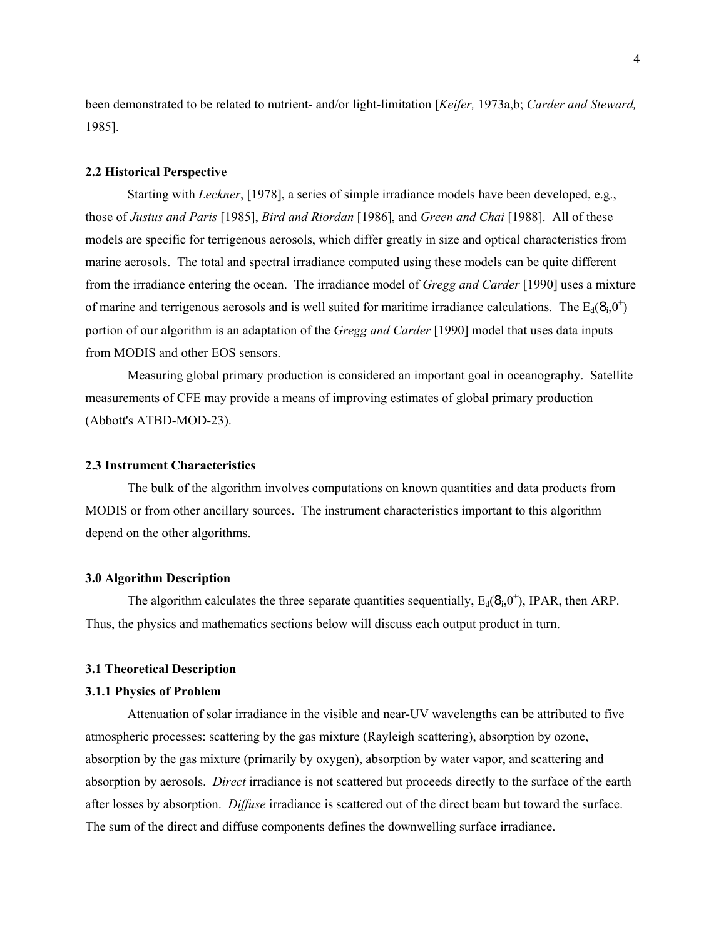been demonstrated to be related to nutrient- and/or light-limitation [*Keifer,* 1973a,b; *Carder and Steward,* 1985].

#### **2.2 Historical Perspective**

 Starting with *Leckner*, [1978], a series of simple irradiance models have been developed, e.g., those of *Justus and Paris* [1985], *Bird and Riordan* [1986], and *Green and Chai* [1988]. All of these models are specific for terrigenous aerosols, which differ greatly in size and optical characteristics from marine aerosols. The total and spectral irradiance computed using these models can be quite different from the irradiance entering the ocean. The irradiance model of *Gregg and Carder* [1990] uses a mixture of marine and terrigenous aerosols and is well suited for maritime irradiance calculations. The  $E_d(8, 0^+)$ portion of our algorithm is an adaptation of the *Gregg and Carder* [1990] model that uses data inputs from MODIS and other EOS sensors.

Measuring global primary production is considered an important goal in oceanography. Satellite measurements of CFE may provide a means of improving estimates of global primary production (Abbott's ATBD-MOD-23).

## **2.3 Instrument Characteristics**

The bulk of the algorithm involves computations on known quantities and data products from MODIS or from other ancillary sources. The instrument characteristics important to this algorithm depend on the other algorithms.

#### **3.0 Algorithm Description**

The algorithm calculates the three separate quantities sequentially,  $E_d(8_i, 0^+)$ , IPAR, then ARP. Thus, the physics and mathematics sections below will discuss each output product in turn.

#### **3.1 Theoretical Description**

## **3.1.1 Physics of Problem**

Attenuation of solar irradiance in the visible and near-UV wavelengths can be attributed to five atmospheric processes: scattering by the gas mixture (Rayleigh scattering), absorption by ozone, absorption by the gas mixture (primarily by oxygen), absorption by water vapor, and scattering and absorption by aerosols. *Direct* irradiance is not scattered but proceeds directly to the surface of the earth after losses by absorption. *Diffuse* irradiance is scattered out of the direct beam but toward the surface. The sum of the direct and diffuse components defines the downwelling surface irradiance.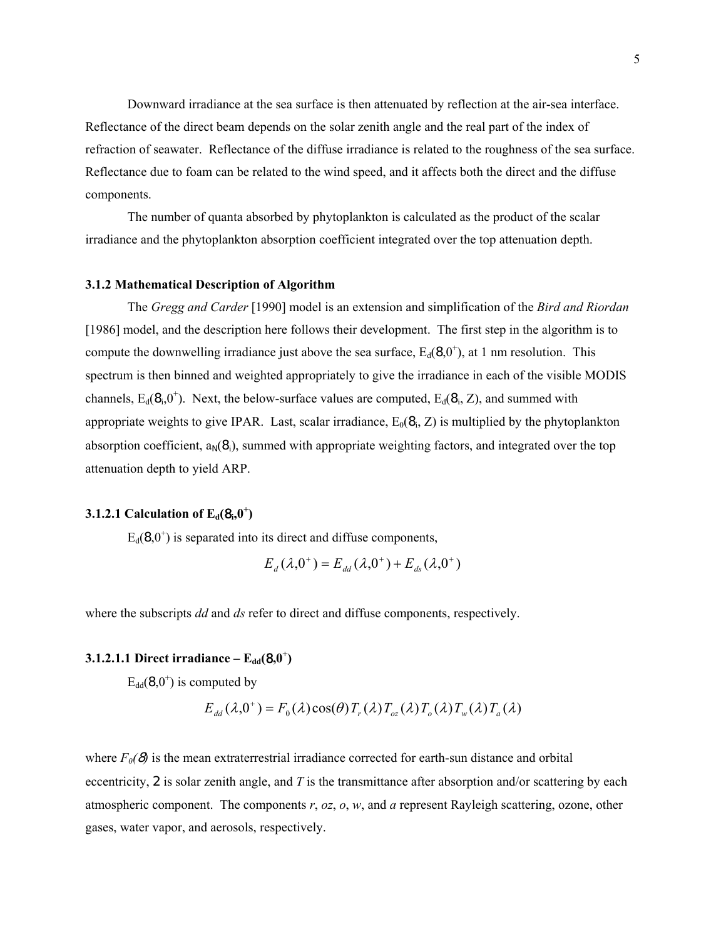Downward irradiance at the sea surface is then attenuated by reflection at the air-sea interface. Reflectance of the direct beam depends on the solar zenith angle and the real part of the index of refraction of seawater. Reflectance of the diffuse irradiance is related to the roughness of the sea surface. Reflectance due to foam can be related to the wind speed, and it affects both the direct and the diffuse components.

The number of quanta absorbed by phytoplankton is calculated as the product of the scalar irradiance and the phytoplankton absorption coefficient integrated over the top attenuation depth.

#### **3.1.2 Mathematical Description of Algorithm**

 The *Gregg and Carder* [1990] model is an extension and simplification of the *Bird and Riordan* [1986] model, and the description here follows their development. The first step in the algorithm is to compute the downwelling irradiance just above the sea surface,  $E_d(8,0^+)$ , at 1 nm resolution. This spectrum is then binned and weighted appropriately to give the irradiance in each of the visible MODIS channels,  $E_d$ ( $8_i$ , $0^+$ ). Next, the below-surface values are computed,  $E_d$ ( $8_i$ , Z), and summed with appropriate weights to give IPAR. Last, scalar irradiance,  $E_0(8, Z)$  is multiplied by the phytoplankton absorption coefficient,  $a_N(8_i)$ , summed with appropriate weighting factors, and integrated over the top attenuation depth to yield ARP.

## **3.1.2.1** Calculation of  $\mathbf{E}_{\mathbf{d}}(\mathbf{8_{i}},\mathbf{0}^{+})$

 $E_d(8,0^+)$  is separated into its direct and diffuse components,

$$
E_d(\lambda, 0^+) = E_{dd}(\lambda, 0^+) + E_{ds}(\lambda, 0^+)
$$

where the subscripts *dd* and *ds* refer to direct and diffuse components, respectively.

## **3.1.2.1.1 Direct irradiance –**  $E_{dd}(8,0^{+})$

 $E_{dd}(8,0^+)$  is computed by

$$
E_{dd}(\lambda, 0^+) = F_0(\lambda) \cos(\theta) T_r(\lambda) T_{oz}(\lambda) T_o(\lambda) T_w(\lambda) T_a(\lambda)
$$

where  $F_0(\mathcal{B})$  is the mean extraterrestrial irradiance corrected for earth-sun distance and orbital eccentricity, 2 is solar zenith angle, and *T* is the transmittance after absorption and/or scattering by each atmospheric component. The components *r*, *oz*, *o*, *w*, and *a* represent Rayleigh scattering, ozone, other gases, water vapor, and aerosols, respectively.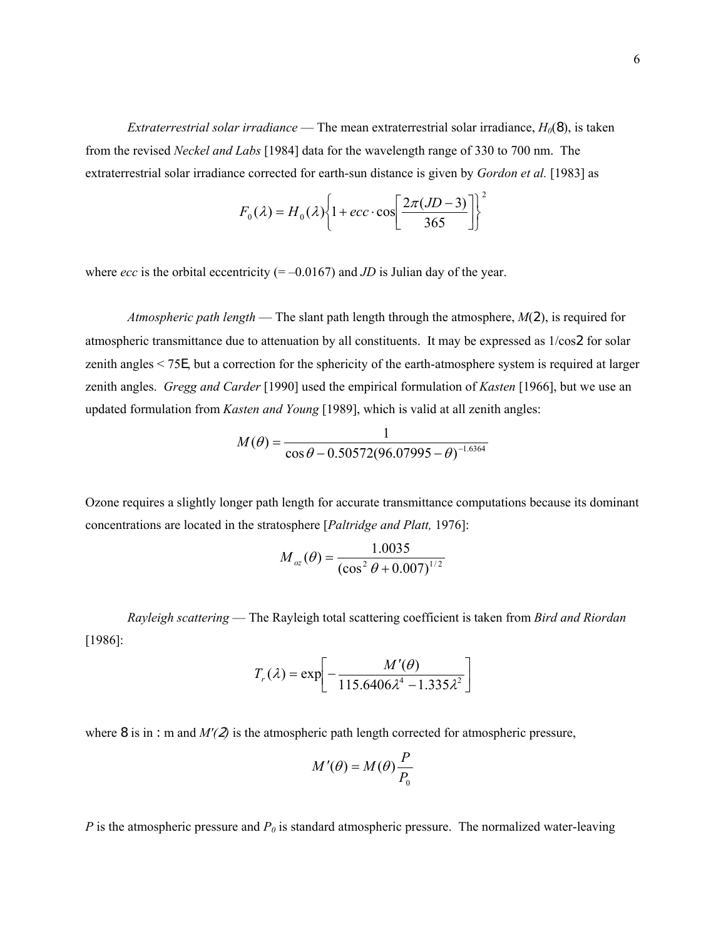*Extraterrestrial solar irradiance* — The mean extraterrestrial solar irradiance,  $H_0(8)$ , is taken from the revised *Neckel and Labs* [1984] data for the wavelength range of 330 to 700 nm. The extraterrestrial solar irradiance corrected for earth-sun distance is given by *Gordon et al.* [1983] as

$$
F_0(\lambda) = H_0(\lambda) \left\{ 1 + ecc \cdot \cos \left[ \frac{2\pi (JD - 3)}{365} \right] \right\}^2
$$

where *ecc* is the orbital eccentricity  $(=-0.0167)$  and *JD* is Julian day of the year.

*Atmospheric path length* — The slant path length through the atmosphere, *M*(2), is required for atmospheric transmittance due to attenuation by all constituents. It may be expressed as 1/cos2 for solar zenith angles < 75E, but a correction for the sphericity of the earth-atmosphere system is required at larger zenith angles. *Gregg and Carder* [1990] used the empirical formulation of *Kasten* [1966], but we use an updated formulation from *Kasten and Young* [1989], which is valid at all zenith angles:

$$
M(\theta) = \frac{1}{\cos \theta - 0.50572(96.07995 - \theta)^{-1.6364}}
$$

Ozone requires a slightly longer path length for accurate transmittance computations because its dominant concentrations are located in the stratosphere [*Paltridge and Platt,* 1976]:

$$
M_{oz}(\theta) = \frac{1.0035}{\left(\cos^2 \theta + 0.007\right)^{1/2}}
$$

*Rayleigh scattering* — The Rayleigh total scattering coefficient is taken from *Bird and Riordan* [1986]:

$$
T_r(\lambda) = \exp\left[-\frac{M'(\theta)}{115.6406\lambda^4 - 1.335\lambda^2}\right]
$$

where 8 is in : m and  $M'(2)$  is the atmospheric path length corrected for atmospheric pressure,

$$
M'(\theta) = M(\theta) \frac{P}{P_0}
$$

*P* is the atmospheric pressure and  $P_0$  is standard atmospheric pressure. The normalized water-leaving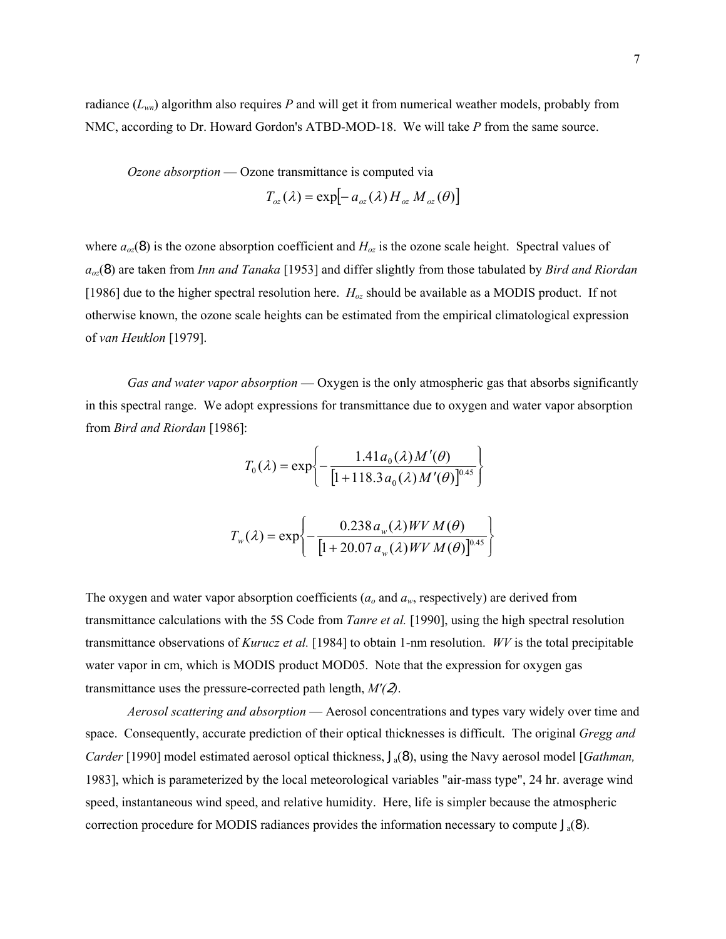radiance  $(L_{wu})$  algorithm also requires P and will get it from numerical weather models, probably from NMC, according to Dr. Howard Gordon's ATBD-MOD-18. We will take *P* from the same source.

*Ozone absorption* — Ozone transmittance is computed via

$$
T_{oz}(\lambda) = \exp[-a_{oz}(\lambda) H_{oz} M_{oz}(\theta)]
$$

where  $a_{\alpha z}(8)$  is the ozone absorption coefficient and  $H_{\alpha z}$  is the ozone scale height. Spectral values of *aoz*(8) are taken from *Inn and Tanaka* [1953] and differ slightly from those tabulated by *Bird and Riordan* [1986] due to the higher spectral resolution here. *Hoz* should be available as a MODIS product. If not otherwise known, the ozone scale heights can be estimated from the empirical climatological expression of *van Heuklon* [1979].

*Gas and water vapor absorption* — Oxygen is the only atmospheric gas that absorbs significantly in this spectral range. We adopt expressions for transmittance due to oxygen and water vapor absorption from *Bird and Riordan* [1986]:

$$
T_0(\lambda) = \exp\left\{-\frac{1.41a_0(\lambda)M'(\theta)}{\left[1+118.3a_0(\lambda)M'(\theta)\right]^{0.45}}\right\}
$$

$$
T_w(\lambda) = \exp\left\{-\frac{0.238a_w(\lambda)WVM(\theta)}{\left[1+20.07a_w(\lambda)WVM(\theta)\right]^{0.45}}\right\}
$$

The oxygen and water vapor absorption coefficients  $(a_0$  and  $a_w$ , respectively) are derived from transmittance calculations with the 5S Code from *Tanre et al.* [1990], using the high spectral resolution transmittance observations of *Kurucz et al.* [1984] to obtain 1-nm resolution. *WV* is the total precipitable water vapor in cm, which is MODIS product MOD05. Note that the expression for oxygen gas transmittance uses the pressure-corrected path length, *M'(*2*)*.

*Aerosol scattering and absorption* — Aerosol concentrations and types vary widely over time and space. Consequently, accurate prediction of their optical thicknesses is difficult. The original *Gregg and Carder* [1990] model estimated aerosol optical thickness,  $J_a(8)$ , using the Navy aerosol model [*Gathman*, 1983], which is parameterized by the local meteorological variables "air-mass type", 24 hr. average wind speed, instantaneous wind speed, and relative humidity. Here, life is simpler because the atmospheric correction procedure for MODIS radiances provides the information necessary to compute  $J_a(8)$ .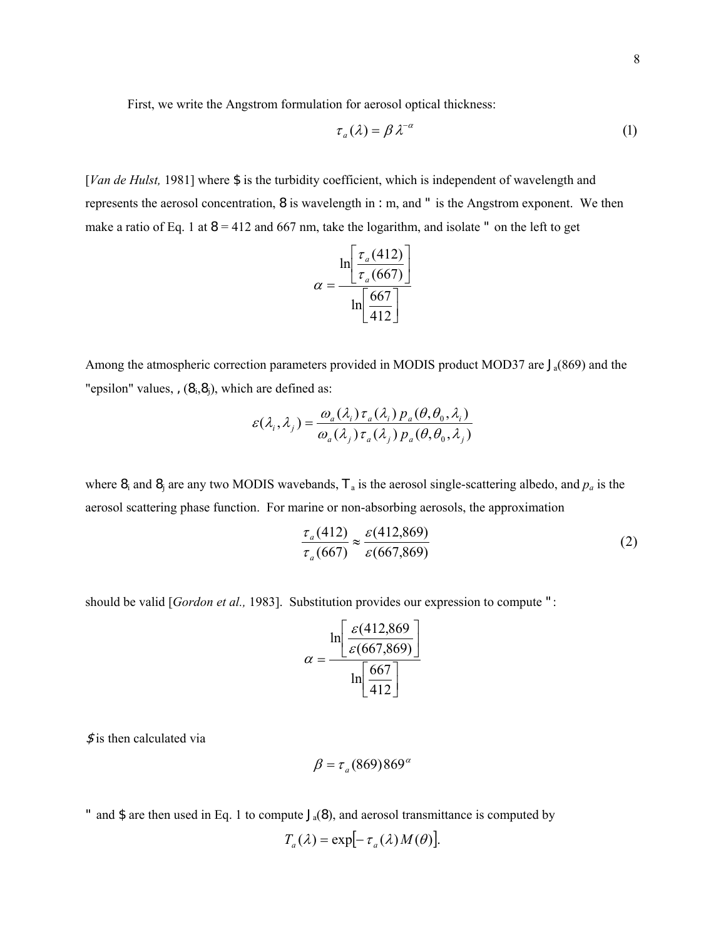First, we write the Angstrom formulation for aerosol optical thickness:

$$
\tau_a(\lambda) = \beta \lambda^{-\alpha} \tag{1}
$$

[*Van de Hulst*, 1981] where \$ is the turbidity coefficient, which is independent of wavelength and represents the aerosol concentration,  $8$  is wavelength in : m, and " is the Angstrom exponent. We then make a ratio of Eq. 1 at  $8 = 412$  and 667 nm, take the logarithm, and isolate " on the left to get

$$
\alpha = \frac{\ln \left[ \frac{\tau_a(412)}{\tau_a(667)} \right]}{\ln \left[ \frac{667}{412} \right]}
$$

Among the atmospheric correction parameters provided in MODIS product MOD37 are  $J_a(869)$  and the "epsilon" values,  $(8, 8)$ , which are defined as:

$$
\varepsilon(\lambda_i, \lambda_j) = \frac{\omega_a(\lambda_i) \tau_a(\lambda_i) p_a(\theta, \theta_0, \lambda_i)}{\omega_a(\lambda_j) \tau_a(\lambda_j) p_a(\theta, \theta_0, \lambda_j)}
$$

where  $\mathcal{B}_i$  and  $\mathcal{B}_j$  are any two MODIS wavebands,  $\mathcal{T}_a$  is the aerosol single-scattering albedo, and  $p_a$  is the aerosol scattering phase function. For marine or non-absorbing aerosols, the approximation

$$
\frac{\tau_a(412)}{\tau_a(667)} \approx \frac{\varepsilon(412,869)}{\varepsilon(667,869)}\tag{2}
$$

should be valid [*Gordon et al.,* 1983]. Substitution provides our expression to compute ":

$$
\alpha = \frac{\ln \left[ \frac{\varepsilon (412,869)}{\varepsilon (667,869)} \right]}{\ln \left[ \frac{667}{412} \right]}
$$

 $s$  is then calculated via

$$
\beta = \tau_a(869)869^{\alpha}
$$

" and \$ are then used in Eq. 1 to compute  $J_a(8)$ , and aerosol transmittance is computed by

$$
T_a(\lambda) = \exp[-\tau_a(\lambda)M(\theta)].
$$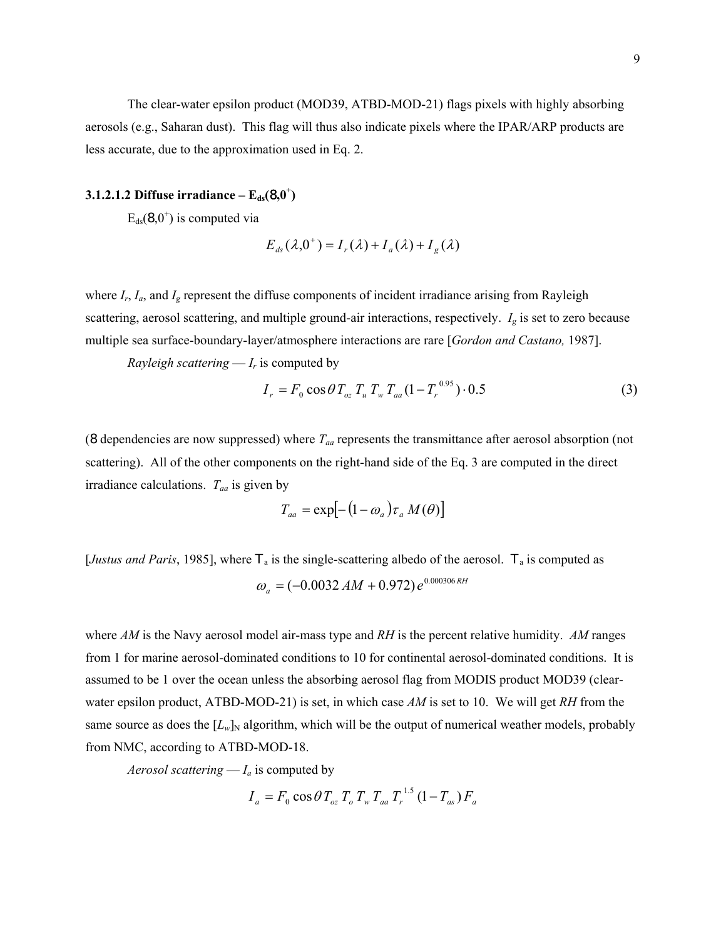The clear-water epsilon product (MOD39, ATBD-MOD-21) flags pixels with highly absorbing aerosols (e.g., Saharan dust). This flag will thus also indicate pixels where the IPAR/ARP products are less accurate, due to the approximation used in Eq. 2.

## **3.1.2.1.2 Diffuse irradiance – Eds(**8**,0<sup>+</sup> )**

 $E_{ds}$ (8,0<sup>+</sup>) is computed via

$$
E_{ds}(\lambda,0^{+})=I_{r}(\lambda)+I_{a}(\lambda)+I_{g}(\lambda)
$$

where  $I_r$ ,  $I_a$ , and  $I_g$  represent the diffuse components of incident irradiance arising from Rayleigh scattering, aerosol scattering, and multiple ground-air interactions, respectively. *Ig* is set to zero because multiple sea surface-boundary-layer/atmosphere interactions are rare [*Gordon and Castano,* 1987].

*Rayleigh scattering* —  $I_r$  is computed by

$$
I_r = F_0 \cos \theta T_{oz} T_u T_w T_{qa} (1 - T_r^{0.95}) \cdot 0.5
$$
 (3)

(8 dependencies are now suppressed) where  $T_{aa}$  represents the transmittance after aerosol absorption (not scattering). All of the other components on the right-hand side of the Eq. 3 are computed in the direct irradiance calculations.  $T_{aa}$  is given by

$$
T_{aa} = \exp[-(1 - \omega_a)\tau_a M(\theta)]
$$

[*Justus and Paris*, 1985], where  $T_a$  is the single-scattering albedo of the aerosol.  $T_a$  is computed as  $\omega_a = (-0.0032 \ AM + 0.972) e^{0.000306 \ RH}$ 

where *AM* is the Navy aerosol model air-mass type and *RH* is the percent relative humidity. *AM* ranges from 1 for marine aerosol-dominated conditions to 10 for continental aerosol-dominated conditions. It is assumed to be 1 over the ocean unless the absorbing aerosol flag from MODIS product MOD39 (clearwater epsilon product, ATBD-MOD-21) is set, in which case *AM* is set to 10. We will get *RH* from the same source as does the  $[L_w]_N$  algorithm, which will be the output of numerical weather models, probably from NMC, according to ATBD-MOD-18.

*Aerosol scattering* —  $I_a$  is computed by

$$
I_a = F_0 \cos \theta T_{oz} T_o T_w T_{aa} T_r^{1.5} (1 - T_{as}) F_a
$$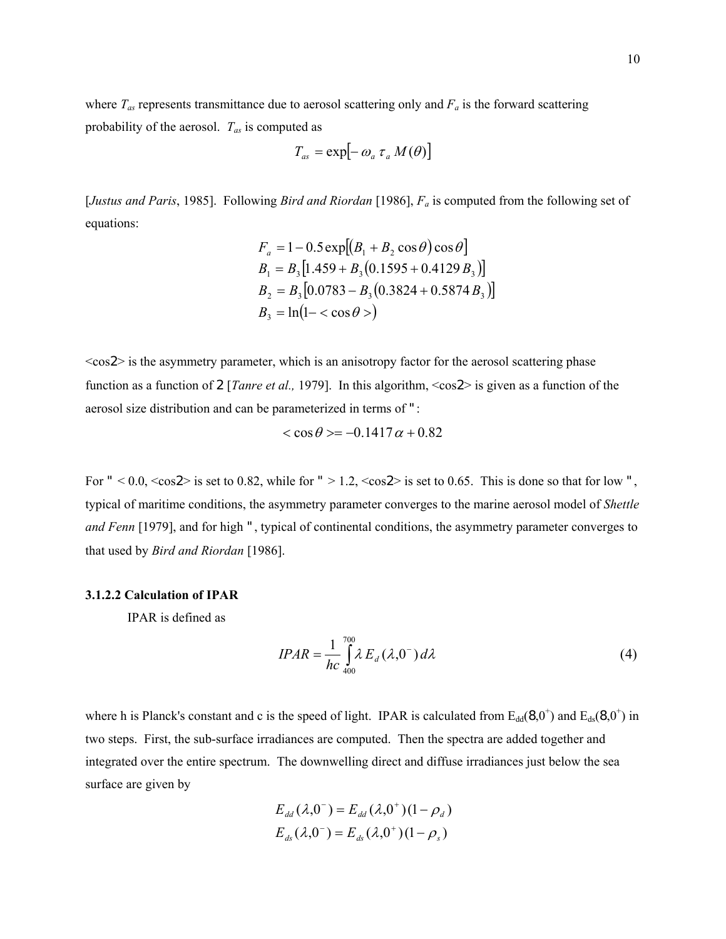where  $T_{as}$  represents transmittance due to aerosol scattering only and  $F_a$  is the forward scattering probability of the aerosol. *Tas* is computed as

$$
T_{as} = \exp[-\omega_a \tau_a M(\theta)]
$$

[*Justus and Paris*, 1985]. Following *Bird and Riordan* [1986], *Fa* is computed from the following set of equations:

$$
F_a = 1 - 0.5 \exp[(B_1 + B_2 \cos \theta) \cos \theta]
$$
  
\n
$$
B_1 = B_3 [1.459 + B_3 (0.1595 + 0.4129 B_3)]
$$
  
\n
$$
B_2 = B_3 [0.0783 - B_3 (0.3824 + 0.5874 B_3)]
$$
  
\n
$$
B_3 = \ln(1 - \cos \theta >)
$$

 $\langle \cos 2 \rangle$  is the asymmetry parameter, which is an anisotropy factor for the aerosol scattering phase function as a function of 2 [*Tanre et al.,* 1979]. In this algorithm, <cos2> is given as a function of the aerosol size distribution and can be parameterized in terms of ":

$$
\langle \cos \theta \rangle = -0.1417 \alpha + 0.82
$$

For "  $< 0.0$ ,  $< \cos 2>$  is set to 0.82, while for "  $> 1.2$ ,  $< \cos 2>$  is set to 0.65. This is done so that for low", typical of maritime conditions, the asymmetry parameter converges to the marine aerosol model of *Shettle and Fenn* [1979], and for high ", typical of continental conditions, the asymmetry parameter converges to that used by *Bird and Riordan* [1986].

#### **3.1.2.2 Calculation of IPAR**

IPAR is defined as

$$
IPAR = \frac{1}{hc} \int_{400}^{700} \lambda E_d(\lambda, 0^-) d\lambda
$$
 (4)

where h is Planck's constant and c is the speed of light. IPAR is calculated from  $E_{dd}(8,0^+)$  and  $E_{ds}(8,0^+)$  in two steps. First, the sub-surface irradiances are computed. Then the spectra are added together and integrated over the entire spectrum. The downwelling direct and diffuse irradiances just below the sea surface are given by

$$
E_{dd}(\lambda, 0^{-}) = E_{dd}(\lambda, 0^{+})(1 - \rho_{d})
$$
  

$$
E_{ds}(\lambda, 0^{-}) = E_{ds}(\lambda, 0^{+})(1 - \rho_{s})
$$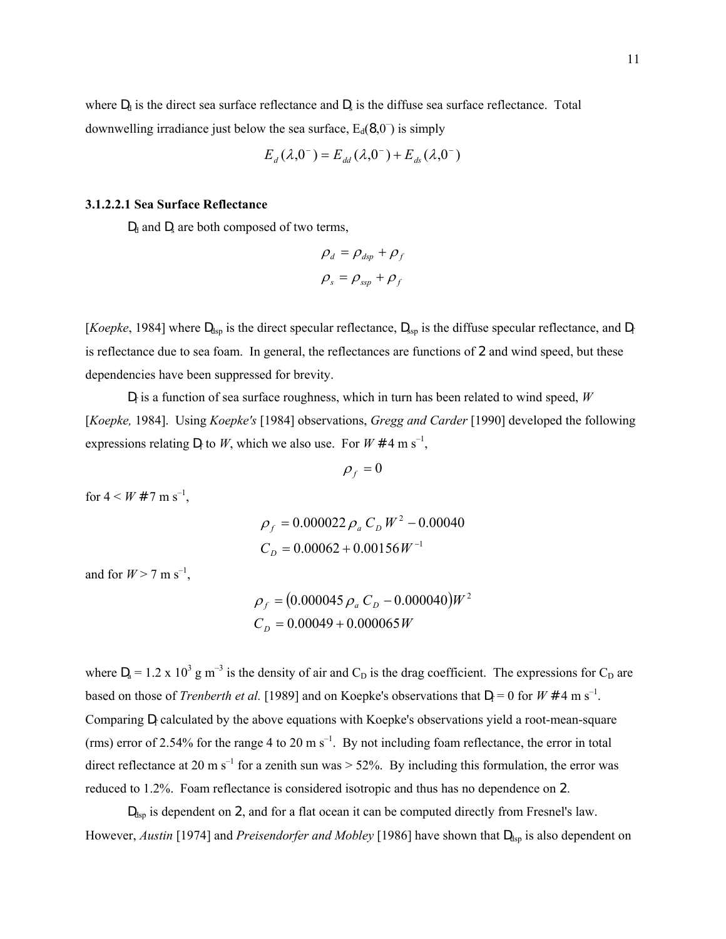where  $D_d$  is the direct sea surface reflectance and  $D_s$  is the diffuse sea surface reflectance. Total downwelling irradiance just below the sea surface,  $E_d(8,0^-)$  is simply

$$
E_d(\lambda, 0^-) = E_{dd}(\lambda, 0^-) + E_{ds}(\lambda, 0^-)
$$

#### **3.1.2.2.1 Sea Surface Reflectance**

 $D_d$  and  $D_s$  are both composed of two terms,

$$
\rho_d = \rho_{dsp} + \rho_f
$$

$$
\rho_s = \rho_{ssp} + \rho_f
$$

[*Koepke*, 1984] where  $D_{dsp}$  is the direct specular reflectance,  $D_{ssp}$  is the diffuse specular reflectance, and  $D_f$ is reflectance due to sea foam. In general, the reflectances are functions of 2 and wind speed, but these dependencies have been suppressed for brevity.

 $D_f$  is a function of sea surface roughness, which in turn has been related to wind speed, *W* [*Koepke,* 1984]. Using *Koepke's* [1984] observations, *Gregg and Carder* [1990] developed the following expressions relating  $D_f$  to *W*, which we also use. For *W* # 4 m s<sup>-1</sup>,

$$
\rho_{f}^{\phantom{1}}=0
$$

for  $4 < W # 7$  m s<sup>-1</sup>,

$$
\rho_f = 0.000022 \rho_a C_D W^2 - 0.00040
$$
  

$$
C_D = 0.00062 + 0.00156 W^{-1}
$$

and for  $W > 7$  m s<sup>-1</sup>,

$$
\rho_f = (0.000045 \rho_a C_D - 0.000040)W^2
$$
  

$$
C_D = 0.00049 + 0.000065 W
$$

where  $D_a = 1.2 \times 10^3$  g m<sup>-3</sup> is the density of air and C<sub>D</sub> is the drag coefficient. The expressions for C<sub>D</sub> are based on those of *Trenberth et al.* [1989] and on Koepke's observations that  $D_f = 0$  for  $W # 4$  m s<sup>-1</sup>. Comparing  $D_f$  calculated by the above equations with Koepke's observations yield a root-mean-square (rms) error of 2.54% for the range 4 to 20 m  $s^{-1}$ . By not including foam reflectance, the error in total direct reflectance at 20 m s<sup>-1</sup> for a zenith sun was  $> 52\%$ . By including this formulation, the error was reduced to 1.2%. Foam reflectance is considered isotropic and thus has no dependence on 2.

D<sub>dsp</sub> is dependent on 2, and for a flat ocean it can be computed directly from Fresnel's law. However, *Austin* [1974] and *Preisendorfer and Mobley* [1986] have shown that D<sub>dsp</sub> is also dependent on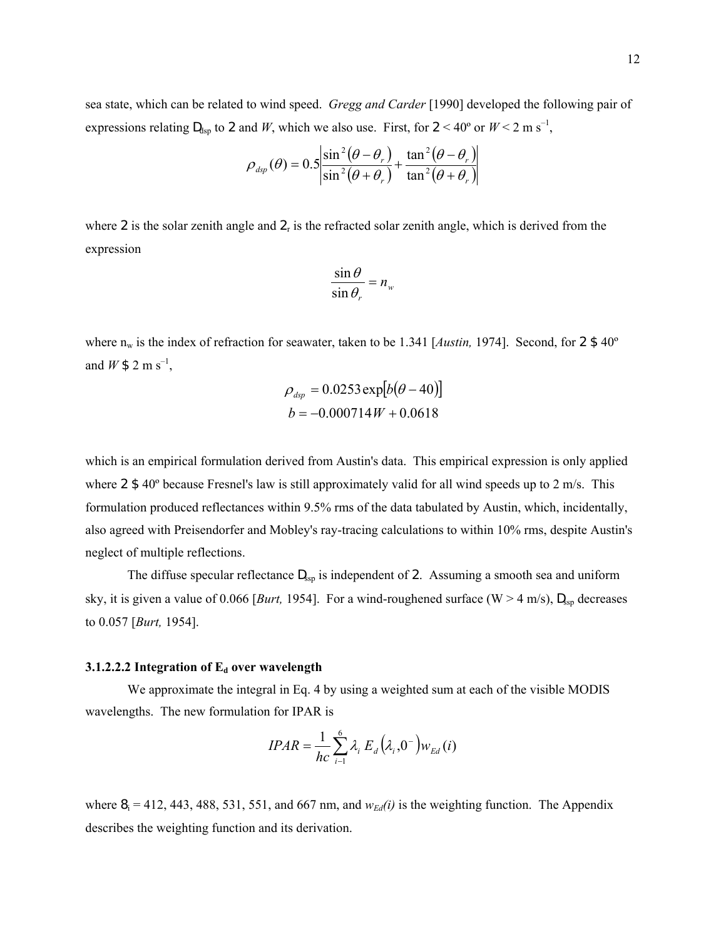sea state, which can be related to wind speed. *Gregg and Carder* [1990] developed the following pair of expressions relating  $D_{\text{dsp}}$  to 2 and *W*, which we also use. First, for  $2 < 40^{\circ}$  or  $W < 2 \text{ m s}^{-1}$ ,

$$
\rho_{\text{dsp}}(\theta) = 0.5 \left| \frac{\sin^2(\theta - \theta_r)}{\sin^2(\theta + \theta_r)} + \frac{\tan^2(\theta - \theta_r)}{\tan^2(\theta + \theta_r)} \right|
$$

where 2 is the solar zenith angle and  $2<sub>r</sub>$  is the refracted solar zenith angle, which is derived from the expression

$$
\frac{\sin \theta}{\sin \theta_r} = n_w
$$

where n<sub>w</sub> is the index of refraction for seawater, taken to be 1.341 [*Austin*, 1974]. Second, for 2 \$ 40<sup>o</sup> and  $W \$  2 m s<sup>-1</sup>,

$$
\rho_{\text{dsp}} = 0.0253 \exp[b(\theta - 40)]
$$

$$
b = -0.000714W + 0.0618
$$

which is an empirical formulation derived from Austin's data. This empirical expression is only applied where  $2 \text{ $40^{\circ}$ because Fresnel's law is still approximately valid for all wind speeds up to 2 m/s. This$ formulation produced reflectances within 9.5% rms of the data tabulated by Austin, which, incidentally, also agreed with Preisendorfer and Mobley's ray-tracing calculations to within 10% rms, despite Austin's neglect of multiple reflections.

The diffuse specular reflectance  $D_{ssp}$  is independent of 2. Assuming a smooth sea and uniform sky, it is given a value of 0.066 [*Burt*, 1954]. For a wind-roughened surface (W > 4 m/s),  $D_{ssp}$  decreases to 0.057 [*Burt,* 1954].

#### **3.1.2.2.2 Integration of E<sub>d</sub> over wavelength**

We approximate the integral in Eq. 4 by using a weighted sum at each of the visible MODIS wavelengths. The new formulation for IPAR is

$$
IPAR = \frac{1}{hc} \sum_{i=1}^{6} \lambda_i E_d (\lambda_i, 0^-) w_{Ed}(i)
$$

where  $\mathcal{B}_i = 412, 443, 488, 531, 551,$  and 667 nm, and  $w_{Ed}(i)$  is the weighting function. The Appendix describes the weighting function and its derivation.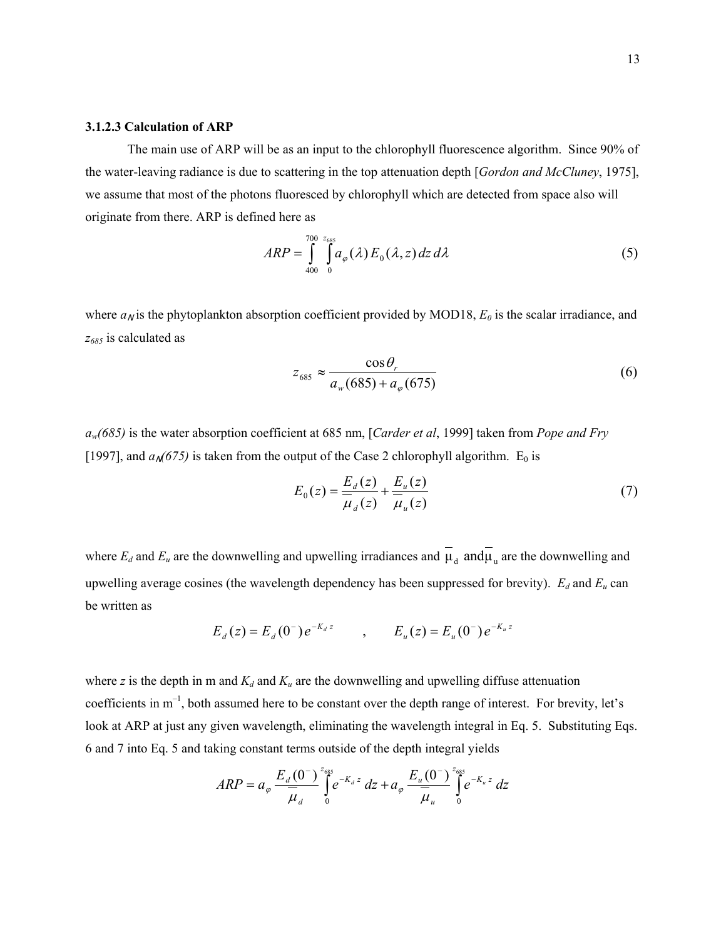#### **3.1.2.3 Calculation of ARP**

The main use of ARP will be as an input to the chlorophyll fluorescence algorithm. Since 90% of the water-leaving radiance is due to scattering in the top attenuation depth [*Gordon and McCluney*, 1975], we assume that most of the photons fluoresced by chlorophyll which are detected from space also will originate from there. ARP is defined here as

$$
ARP = \int_{400}^{700} \int_{0}^{z_{685}} a_{\varphi}(\lambda) E_0(\lambda, z) dz d\lambda
$$
 (5)

where  $a_N$  is the phytoplankton absorption coefficient provided by MOD18,  $E_0$  is the scalar irradiance, and *z685* is calculated as

$$
z_{685} \approx \frac{\cos \theta_r}{a_w (685) + a_\varphi (675)}
$$
(6)

*aw(685)* is the water absorption coefficient at 685 nm, [*Carder et al*, 1999] taken from *Pope and Fry* [1997], and  $a<sub>M</sub>(675)$  is taken from the output of the Case 2 chlorophyll algorithm. E<sub>0</sub> is

$$
E_0(z) = \frac{E_d(z)}{\overline{\mu}_d(z)} + \frac{E_u(z)}{\overline{\mu}_u(z)}
$$
(7)

where  $E_d$  and  $E_u$  are the downwelling and upwelling irradiances and  $\mu_d$  and  $\mu_u$  are the downwelling and upwelling average cosines (the wavelength dependency has been suppressed for brevity).  $E_d$  and  $E_u$  can be written as

$$
E_d(z) = E_d(0^-) e^{-K_d z}
$$
,  $E_u(z) = E_u(0^-) e^{-K_u z}$ 

where *z* is the depth in m and  $K_d$  and  $K_u$  are the downwelling and upwelling diffuse attenuation coefficients in m–1, both assumed here to be constant over the depth range of interest. For brevity, let's look at ARP at just any given wavelength, eliminating the wavelength integral in Eq. 5. Substituting Eqs. 6 and 7 into Eq. 5 and taking constant terms outside of the depth integral yields

$$
ARP = a_{\varphi} \frac{E_d (0^{-})}{\mu_d} \int_{0}^{z_{0.05}} e^{-K_d z} dz + a_{\varphi} \frac{E_u (0^{-})}{\mu_u} \int_{0}^{z_{0.05}} e^{-K_u z} dz
$$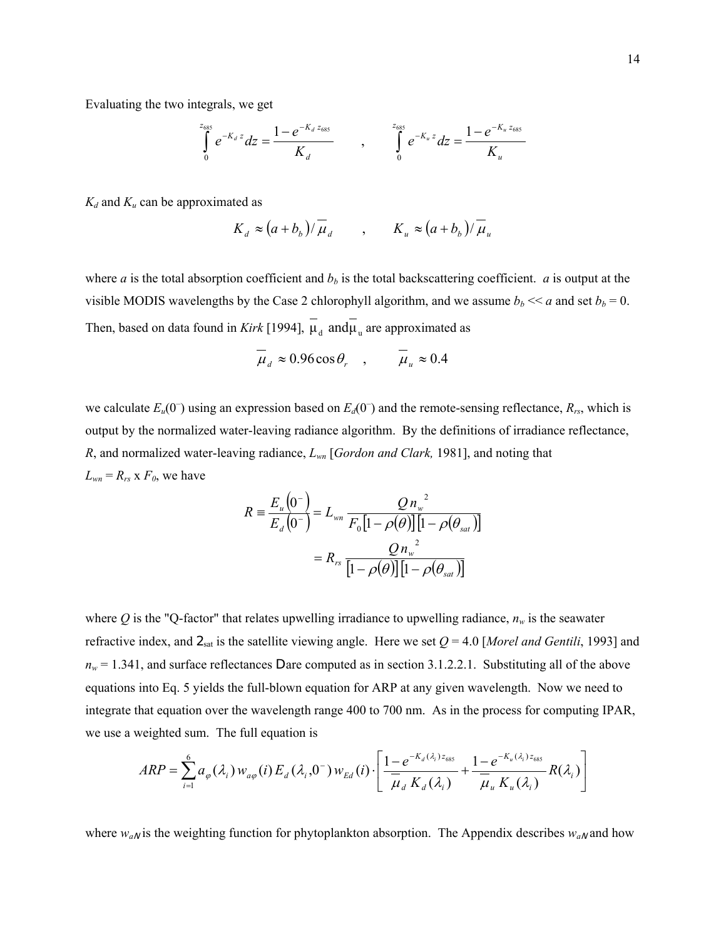Evaluating the two integrals, we get

$$
\int_{0}^{z_{685}} e^{-K_d z} dz = \frac{1 - e^{-K_d z_{685}}}{K_d} , \qquad \int_{0}^{z_{685}} e^{-K_u z} dz = \frac{1 - e^{-K_u z_{685}}}{K_u}
$$

 $K_d$  and  $K_u$  can be approximated as

$$
K_d \approx (a+b_b)/\overline{\mu}_d
$$
,  $K_u \approx (a+b_b)/\overline{\mu}_u$ 

where  $a$  is the total absorption coefficient and  $b<sub>b</sub>$  is the total backscattering coefficient.  $a$  is output at the visible MODIS wavelengths by the Case 2 chlorophyll algorithm, and we assume  $b_b \ll a$  and set  $b_b = 0$ . Then, based on data found in *Kirk* [1994],  $\mu_d$  and  $\mu_u$  are approximated as

$$
\mu_d \approx 0.96 \cos \theta_r \quad , \qquad \mu_u \approx 0.4
$$

we calculate  $E_u(0^-)$  using an expression based on  $E_d(0^-)$  and the remote-sensing reflectance,  $R_{rs}$ , which is output by the normalized water-leaving radiance algorithm. By the definitions of irradiance reflectance, *R*, and normalized water-leaving radiance, *Lwn* [*Gordon and Clark,* 1981], and noting that  $L_{wn} = R_{rs} \times F_0$ , we have

$$
R = \frac{E_u(0^-)}{E_d(0^-)} = L_{wn} \frac{Q n_w^2}{F_0[1 - \rho(\theta)][1 - \rho(\theta_{sat})]}
$$
  
=  $R_{rs} \frac{Q n_w^2}{[1 - \rho(\theta)][1 - \rho(\theta_{sat})]}$ 

where  $Q$  is the "Q-factor" that relates upwelling irradiance to upwelling radiance,  $n_w$  is the seawater refractive index, and  $2_{sat}$  is the satellite viewing angle. Here we set  $Q = 4.0$  [*Morel and Gentili*, 1993] and  $n_w$  = 1.341, and surface reflectances D are computed as in section 3.1.2.2.1. Substituting all of the above equations into Eq. 5 yields the full-blown equation for ARP at any given wavelength. Now we need to integrate that equation over the wavelength range 400 to 700 nm. As in the process for computing IPAR, we use a weighted sum. The full equation is

$$
ARP = \sum_{i=1}^{6} a_{\varphi}(\lambda_i) w_{a\varphi}(i) E_d(\lambda_i, 0^-) w_{Ed}(i) \cdot \left[ \frac{1 - e^{-K_d(\lambda_i) z_{685}}}{\overline{\mu}_d K_d(\lambda_i)} + \frac{1 - e^{-K_u(\lambda_i) z_{685}}}{\overline{\mu}_u K_u(\lambda_i)} R(\lambda_i) \right]
$$

where  $w_{aN}$  is the weighting function for phytoplankton absorption. The Appendix describes  $w_{aN}$  and how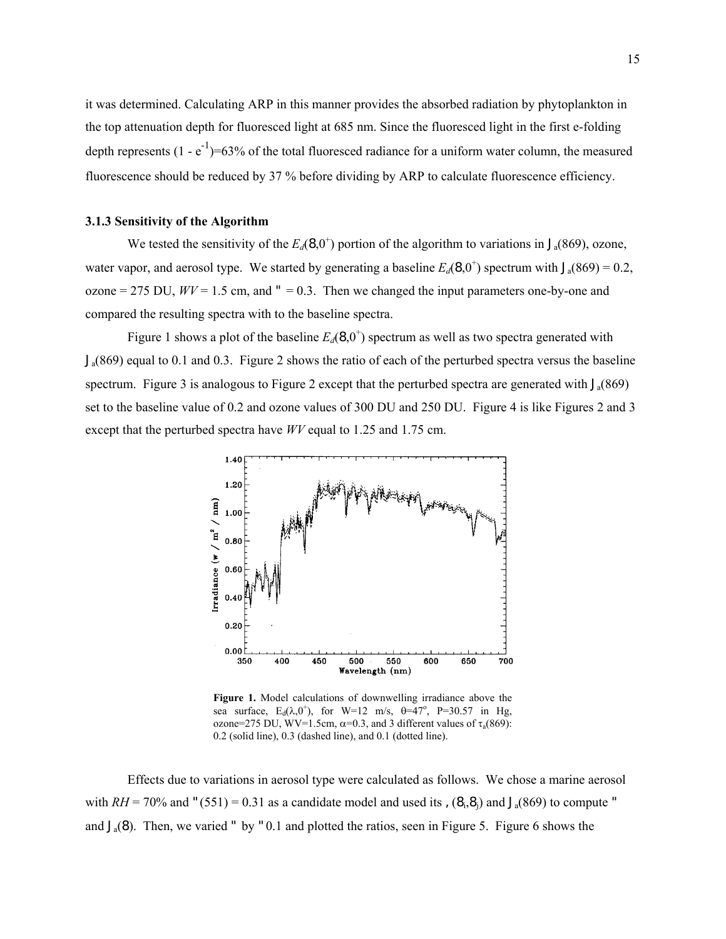it was determined. Calculating ARP in this manner provides the absorbed radiation by phytoplankton in the top attenuation depth for fluoresced light at 685 nm. Since the fluoresced light in the first e-folding depth represents  $(1 - e^{-1})$ =63% of the total fluoresced radiance for a uniform water column, the measured fluorescence should be reduced by 37 % before dividing by ARP to calculate fluorescence efficiency.

## **3.1.3 Sensitivity of the Algorithm**

We tested the sensitivity of the  $E_d(8,0^+)$  portion of the algorithm to variations in  $J_a(869)$ , ozone, water vapor, and aerosol type. We started by generating a baseline  $E_d(8,0^+)$  spectrum with  $J_a(869) = 0.2$ , ozone = 275 DU,  $WV = 1.5$  cm, and  $'' = 0.3$ . Then we changed the input parameters one-by-one and compared the resulting spectra with to the baseline spectra.

Figure 1 shows a plot of the baseline  $E_d(8,0^+)$  spectrum as well as two spectra generated with  $J_{\alpha}(869)$  equal to 0.1 and 0.3. Figure 2 shows the ratio of each of the perturbed spectra versus the baseline spectrum. Figure 3 is analogous to Figure 2 except that the perturbed spectra are generated with  $J_a(869)$ set to the baseline value of 0.2 and ozone values of 300 DU and 250 DU. Figure 4 is like Figures 2 and 3 except that the perturbed spectra have *WV* equal to 1.25 and 1.75 cm.



**Figure 1.** Model calculations of downwelling irradiance above the sea surface,  $E_d(\lambda, 0^+)$ , for W=12 m/s,  $\theta=47^\circ$ , P=30.57 in Hg, ozone=275 DU, WV=1.5cm,  $\alpha$ =0.3, and 3 different values of  $\tau_a(869)$ : 0.2 (solid line), 0.3 (dashed line), and 0.1 (dotted line).

Effects due to variations in aerosol type were calculated as follows. We chose a marine aerosol with  $RH = 70\%$  and "(551) = 0.31 as a candidate model and used its , (8<sub>i</sub>,8<sub>i</sub>) and  $J_a(869)$  to compute " and  $J_a(8)$ . Then, we varied " by "0.1 and plotted the ratios, seen in Figure 5. Figure 6 shows the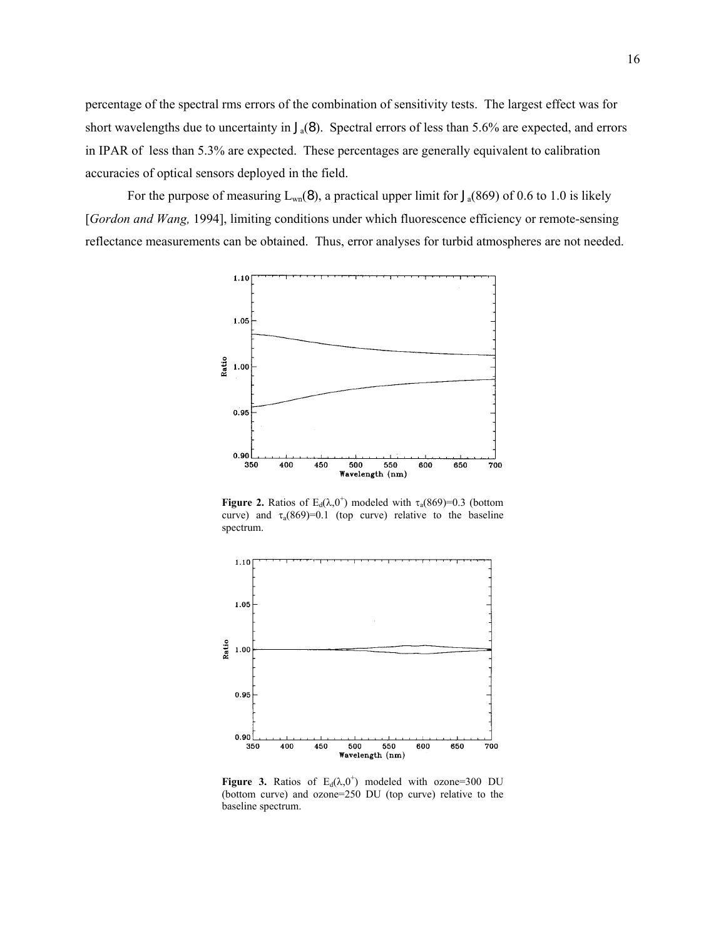percentage of the spectral rms errors of the combination of sensitivity tests. The largest effect was for short wavelengths due to uncertainty in  $J_a(8)$ . Spectral errors of less than 5.6% are expected, and errors in IPAR of less than 5.3% are expected. These percentages are generally equivalent to calibration accuracies of optical sensors deployed in the field.

For the purpose of measuring  $L_{wn}(8)$ , a practical upper limit for  $J_a(869)$  of 0.6 to 1.0 is likely [*Gordon and Wang, 1994*], limiting conditions under which fluorescence efficiency or remote-sensing reflectance measurements can be obtained. Thus, error analyses for turbid atmospheres are not needed.



**Figure 2.** Ratios of  $E_d(\lambda, 0^+)$  modeled with  $\tau_a(869)=0.3$  (bottom curve) and  $\tau_a(869)=0.1$  (top curve) relative to the baseline spectrum.



**Figure 3.** Ratios of  $E_d(\lambda, 0^+)$  modeled with ozone=300 DU (bottom curve) and ozone=250 DU (top curve) relative to the baseline spectrum.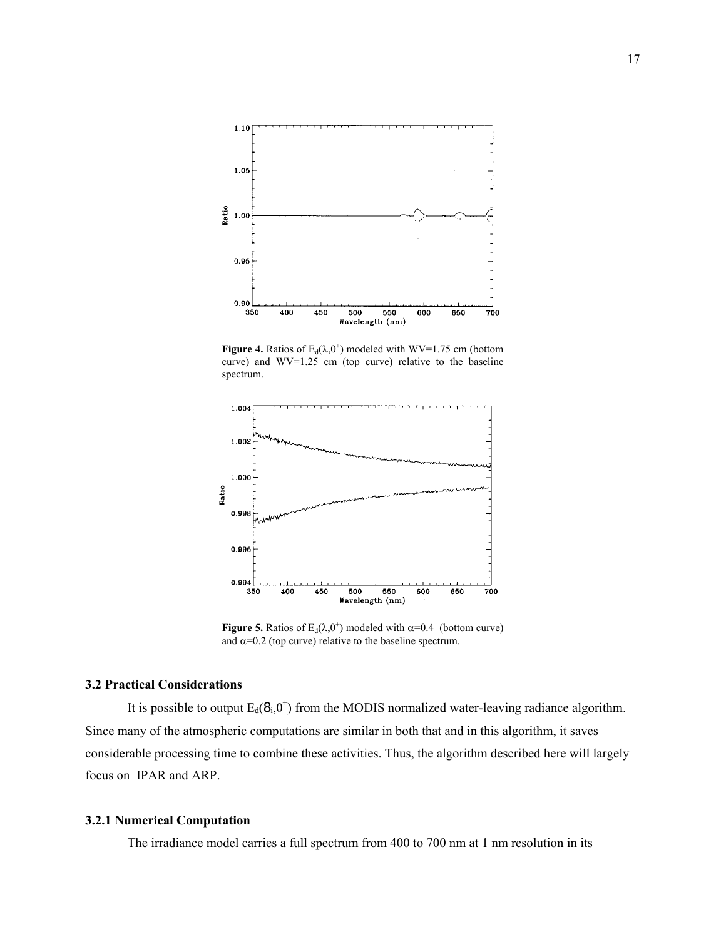

**Figure 4.** Ratios of  $E_d(\lambda, 0^+)$  modeled with WV=1.75 cm (bottom curve) and WV=1.25 cm (top curve) relative to the baseline spectrum.



**Figure 5.** Ratios of  $E_d(\lambda, 0^+)$  modeled with  $\alpha = 0.4$  (bottom curve) and  $\alpha$ =0.2 (top curve) relative to the baseline spectrum.

## **3.2 Practical Considerations**

It is possible to output  $E_d(8_i, 0^+)$  from the MODIS normalized water-leaving radiance algorithm. Since many of the atmospheric computations are similar in both that and in this algorithm, it saves considerable processing time to combine these activities. Thus, the algorithm described here will largely focus on IPAR and ARP.

## **3.2.1 Numerical Computation**

The irradiance model carries a full spectrum from 400 to 700 nm at 1 nm resolution in its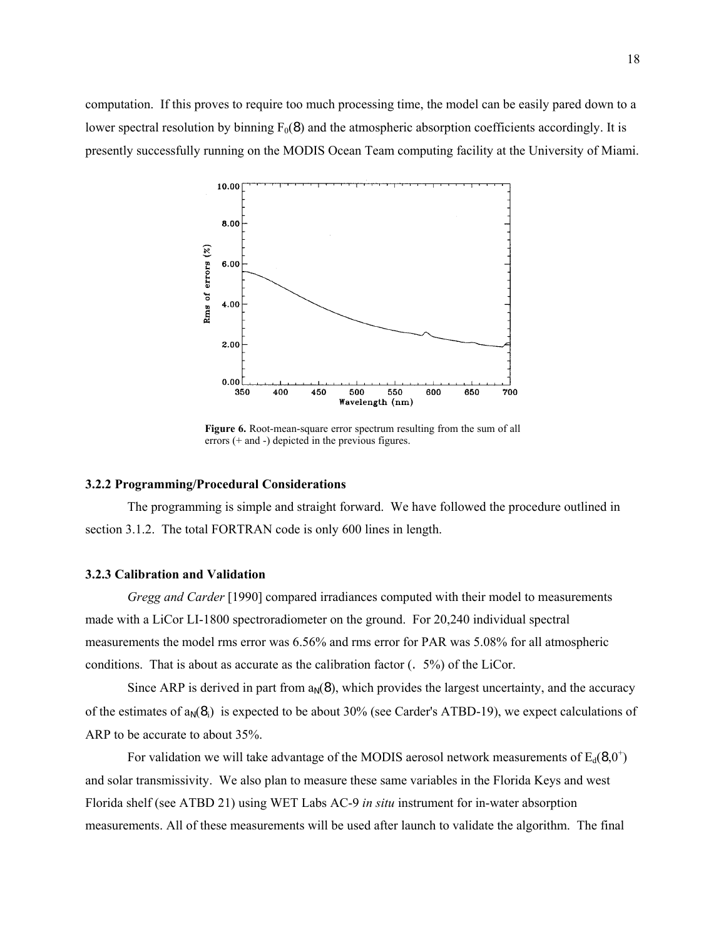computation. If this proves to require too much processing time, the model can be easily pared down to a lower spectral resolution by binning  $F_0(8)$  and the atmospheric absorption coefficients accordingly. It is presently successfully running on the MODIS Ocean Team computing facility at the University of Miami.



**Figure 6.** Root-mean-square error spectrum resulting from the sum of all errors (+ and -) depicted in the previous figures.

#### **3.2.2 Programming/Procedural Considerations**

The programming is simple and straight forward. We have followed the procedure outlined in section 3.1.2. The total FORTRAN code is only 600 lines in length.

## **3.2.3 Calibration and Validation**

*Gregg and Carder* [1990] compared irradiances computed with their model to measurements made with a LiCor LI-1800 spectroradiometer on the ground. For 20,240 individual spectral measurements the model rms error was 6.56% and rms error for PAR was 5.08% for all atmospheric conditions. That is about as accurate as the calibration factor (. 5%) of the LiCor.

Since ARP is derived in part from  $a_N(8)$ , which provides the largest uncertainty, and the accuracy of the estimates of  $a_N(8_i)$  is expected to be about 30% (see Carder's ATBD-19), we expect calculations of ARP to be accurate to about 35%.

For validation we will take advantage of the MODIS aerosol network measurements of  $E_d(8,0^+)$ and solar transmissivity. We also plan to measure these same variables in the Florida Keys and west Florida shelf (see ATBD 21) using WET Labs AC-9 *in situ* instrument for in-water absorption measurements. All of these measurements will be used after launch to validate the algorithm. The final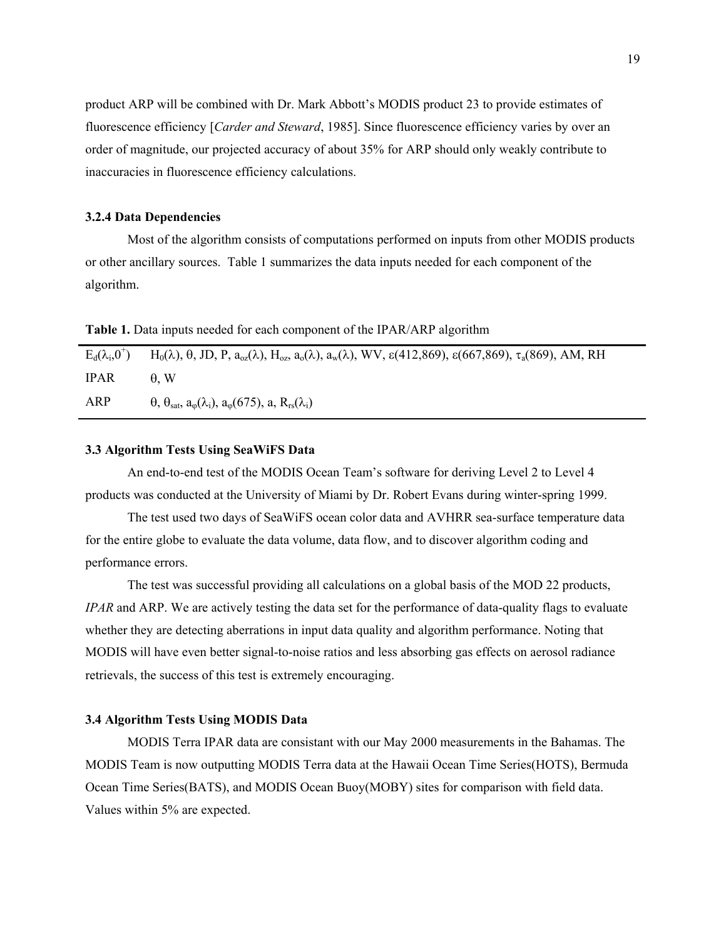product ARP will be combined with Dr. Mark Abbott's MODIS product 23 to provide estimates of fluorescence efficiency [*Carder and Steward*, 1985]. Since fluorescence efficiency varies by over an order of magnitude, our projected accuracy of about 35% for ARP should only weakly contribute to inaccuracies in fluorescence efficiency calculations.

#### **3.2.4 Data Dependencies**

Most of the algorithm consists of computations performed on inputs from other MODIS products or other ancillary sources. Table 1 summarizes the data inputs needed for each component of the algorithm.

**Table 1.** Data inputs needed for each component of the IPAR/ARP algorithm

| $E_d(\lambda_i, 0^+)$ | $H_0(\lambda)$ , $\theta$ , JD, P, $a_{oz}(\lambda)$ , $H_{oz}$ , $a_o(\lambda)$ , $a_w(\lambda)$ , WV, $\epsilon$ (412,869), $\epsilon$ (667,869), $\tau_a$ (869), AM, RH |
|-----------------------|----------------------------------------------------------------------------------------------------------------------------------------------------------------------------|
| <b>IPAR</b>           | $\theta W$                                                                                                                                                                 |
| ARP                   | $\theta$ , $\theta_{\text{sat}}$ , $a_{\varphi}(\lambda_i)$ , $a_{\varphi}(675)$ , $a$ , $R_{rs}(\lambda_i)$                                                               |

#### **3.3 Algorithm Tests Using SeaWiFS Data**

An end-to-end test of the MODIS Ocean Team's software for deriving Level 2 to Level 4 products was conducted at the University of Miami by Dr. Robert Evans during winter-spring 1999.

The test used two days of SeaWiFS ocean color data and AVHRR sea-surface temperature data for the entire globe to evaluate the data volume, data flow, and to discover algorithm coding and performance errors.

The test was successful providing all calculations on a global basis of the MOD 22 products, *IPAR* and ARP. We are actively testing the data set for the performance of data-quality flags to evaluate whether they are detecting aberrations in input data quality and algorithm performance. Noting that MODIS will have even better signal-to-noise ratios and less absorbing gas effects on aerosol radiance retrievals, the success of this test is extremely encouraging.

#### **3.4 Algorithm Tests Using MODIS Data**

MODIS Terra IPAR data are consistant with our May 2000 measurements in the Bahamas. The MODIS Team is now outputting MODIS Terra data at the Hawaii Ocean Time Series(HOTS), Bermuda Ocean Time Series(BATS), and MODIS Ocean Buoy(MOBY) sites for comparison with field data. Values within 5% are expected.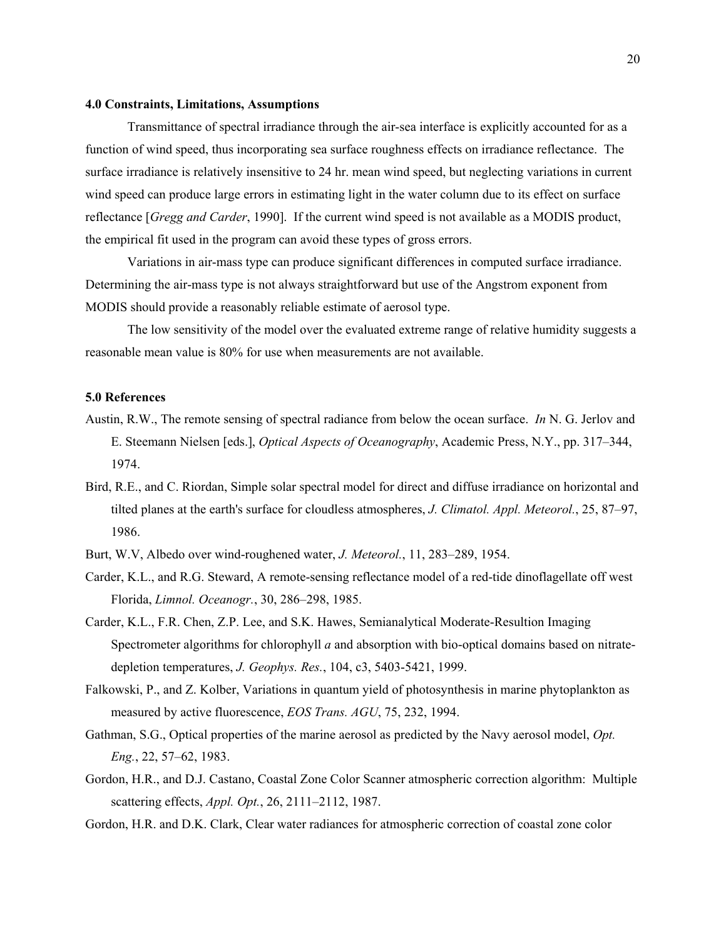#### **4.0 Constraints, Limitations, Assumptions**

Transmittance of spectral irradiance through the air-sea interface is explicitly accounted for as a function of wind speed, thus incorporating sea surface roughness effects on irradiance reflectance. The surface irradiance is relatively insensitive to 24 hr. mean wind speed, but neglecting variations in current wind speed can produce large errors in estimating light in the water column due to its effect on surface reflectance [*Gregg and Carder*, 1990]. If the current wind speed is not available as a MODIS product, the empirical fit used in the program can avoid these types of gross errors.

Variations in air-mass type can produce significant differences in computed surface irradiance. Determining the air-mass type is not always straightforward but use of the Angstrom exponent from MODIS should provide a reasonably reliable estimate of aerosol type.

The low sensitivity of the model over the evaluated extreme range of relative humidity suggests a reasonable mean value is 80% for use when measurements are not available.

#### **5.0 References**

- Austin, R.W., The remote sensing of spectral radiance from below the ocean surface. *In* N. G. Jerlov and E. Steemann Nielsen [eds.], *Optical Aspects of Oceanography*, Academic Press, N.Y., pp. 317–344, 1974.
- Bird, R.E., and C. Riordan, Simple solar spectral model for direct and diffuse irradiance on horizontal and tilted planes at the earth's surface for cloudless atmospheres, *J. Climatol. Appl. Meteorol.*, 25, 87–97, 1986.
- Burt, W.V, Albedo over wind-roughened water, *J. Meteorol.*, 11, 283–289, 1954.
- Carder, K.L., and R.G. Steward, A remote-sensing reflectance model of a red-tide dinoflagellate off west Florida, *Limnol. Oceanogr.*, 30, 286–298, 1985.
- Carder, K.L., F.R. Chen, Z.P. Lee, and S.K. Hawes, Semianalytical Moderate-Resultion Imaging Spectrometer algorithms for chlorophyll *a* and absorption with bio-optical domains based on nitratedepletion temperatures, *J. Geophys. Res.*, 104, c3, 5403-5421, 1999.
- Falkowski, P., and Z. Kolber, Variations in quantum yield of photosynthesis in marine phytoplankton as measured by active fluorescence, *EOS Trans. AGU*, 75, 232, 1994.
- Gathman, S.G., Optical properties of the marine aerosol as predicted by the Navy aerosol model, *Opt. Eng.*, 22, 57–62, 1983.
- Gordon, H.R., and D.J. Castano, Coastal Zone Color Scanner atmospheric correction algorithm: Multiple scattering effects, *Appl. Opt.*, 26, 2111–2112, 1987.
- Gordon, H.R. and D.K. Clark, Clear water radiances for atmospheric correction of coastal zone color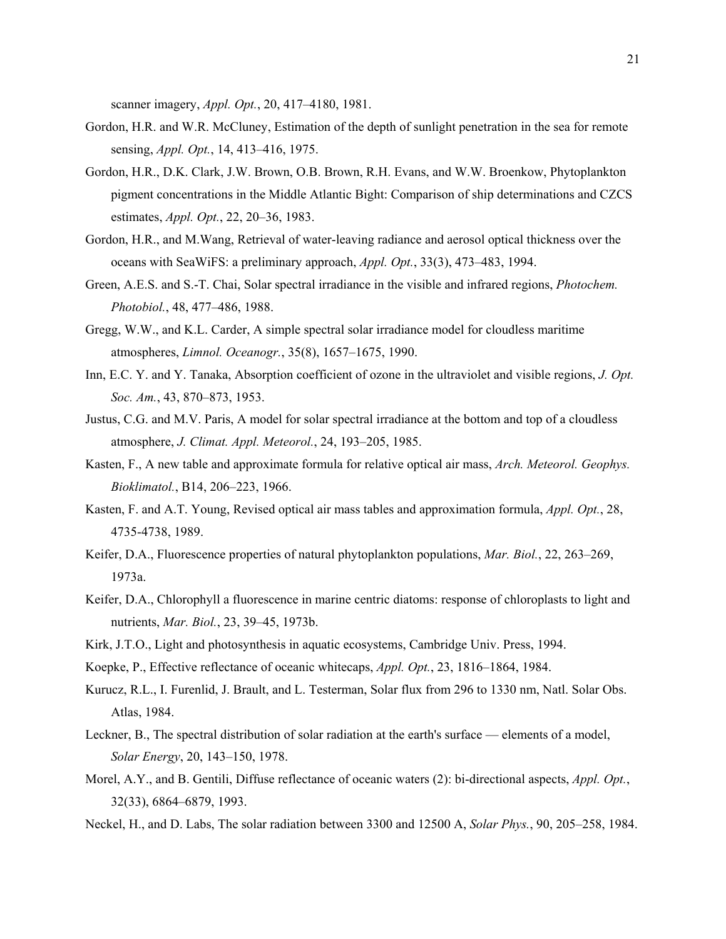scanner imagery, *Appl. Opt.*, 20, 417–4180, 1981.

- Gordon, H.R. and W.R. McCluney, Estimation of the depth of sunlight penetration in the sea for remote sensing, *Appl. Opt.*, 14, 413–416, 1975.
- Gordon, H.R., D.K. Clark, J.W. Brown, O.B. Brown, R.H. Evans, and W.W. Broenkow, Phytoplankton pigment concentrations in the Middle Atlantic Bight: Comparison of ship determinations and CZCS estimates, *Appl. Opt.*, 22, 20–36, 1983.
- Gordon, H.R., and M.Wang, Retrieval of water-leaving radiance and aerosol optical thickness over the oceans with SeaWiFS: a preliminary approach, *Appl. Opt.*, 33(3), 473–483, 1994.
- Green, A.E.S. and S.-T. Chai, Solar spectral irradiance in the visible and infrared regions, *Photochem. Photobiol.*, 48, 477–486, 1988.
- Gregg, W.W., and K.L. Carder, A simple spectral solar irradiance model for cloudless maritime atmospheres, *Limnol. Oceanogr.*, 35(8), 1657–1675, 1990.
- Inn, E.C. Y. and Y. Tanaka, Absorption coefficient of ozone in the ultraviolet and visible regions, *J. Opt. Soc. Am.*, 43, 870–873, 1953.
- Justus, C.G. and M.V. Paris, A model for solar spectral irradiance at the bottom and top of a cloudless atmosphere, *J. Climat. Appl. Meteorol.*, 24, 193–205, 1985.
- Kasten, F., A new table and approximate formula for relative optical air mass, *Arch. Meteorol. Geophys. Bioklimatol.*, B14, 206–223, 1966.
- Kasten, F. and A.T. Young, Revised optical air mass tables and approximation formula, *Appl. Opt.*, 28, 4735-4738, 1989.
- Keifer, D.A., Fluorescence properties of natural phytoplankton populations, *Mar. Biol.*, 22, 263–269, 1973a.
- Keifer, D.A., Chlorophyll a fluorescence in marine centric diatoms: response of chloroplasts to light and nutrients, *Mar. Biol.*, 23, 39–45, 1973b.
- Kirk, J.T.O., Light and photosynthesis in aquatic ecosystems, Cambridge Univ. Press, 1994.
- Koepke, P., Effective reflectance of oceanic whitecaps, *Appl. Opt.*, 23, 1816–1864, 1984.
- Kurucz, R.L., I. Furenlid, J. Brault, and L. Testerman, Solar flux from 296 to 1330 nm, Natl. Solar Obs. Atlas, 1984.
- Leckner, B., The spectral distribution of solar radiation at the earth's surface elements of a model, *Solar Energy*, 20, 143–150, 1978.
- Morel, A.Y., and B. Gentili, Diffuse reflectance of oceanic waters (2): bi-directional aspects, *Appl. Opt.*, 32(33), 6864–6879, 1993.
- Neckel, H., and D. Labs, The solar radiation between 3300 and 12500 A, *Solar Phys.*, 90, 205–258, 1984.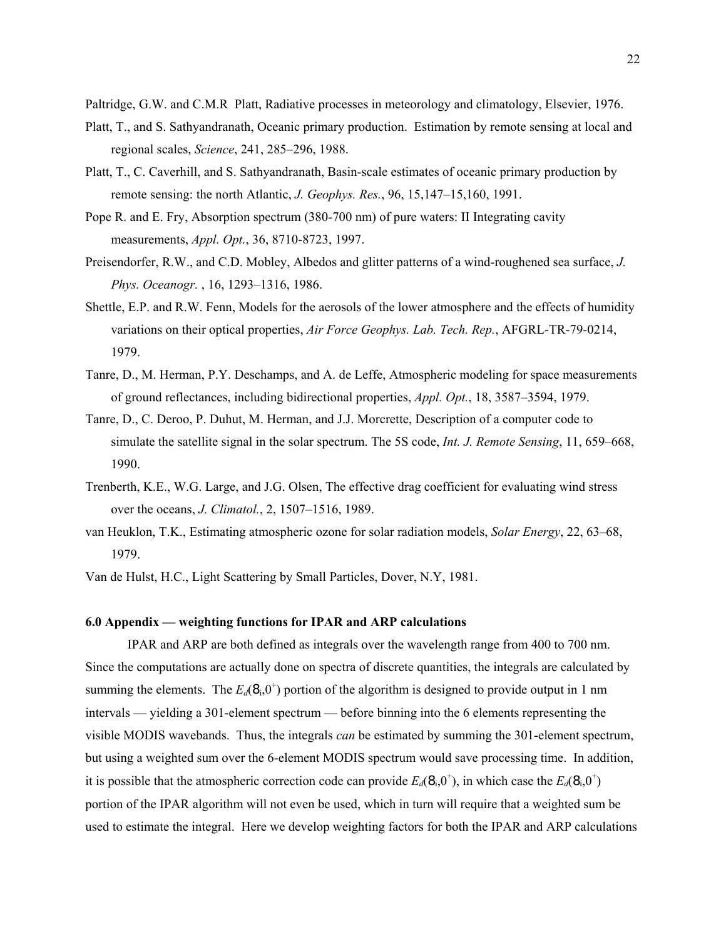Paltridge, G.W. and C.M.R Platt, Radiative processes in meteorology and climatology, Elsevier, 1976.

- Platt, T., and S. Sathyandranath, Oceanic primary production. Estimation by remote sensing at local and regional scales, *Science*, 241, 285–296, 1988.
- Platt, T., C. Caverhill, and S. Sathyandranath, Basin-scale estimates of oceanic primary production by remote sensing: the north Atlantic, *J. Geophys. Res.*, 96, 15,147–15,160, 1991.
- Pope R. and E. Fry, Absorption spectrum (380-700 nm) of pure waters: II Integrating cavity measurements, *Appl. Opt.*, 36, 8710-8723, 1997.
- Preisendorfer, R.W., and C.D. Mobley, Albedos and glitter patterns of a wind-roughened sea surface, *J. Phys. Oceanogr.* , 16, 1293–1316, 1986.
- Shettle, E.P. and R.W. Fenn, Models for the aerosols of the lower atmosphere and the effects of humidity variations on their optical properties, *Air Force Geophys. Lab. Tech. Rep.*, AFGRL-TR-79-0214, 1979.
- Tanre, D., M. Herman, P.Y. Deschamps, and A. de Leffe, Atmospheric modeling for space measurements of ground reflectances, including bidirectional properties, *Appl. Opt.*, 18, 3587–3594, 1979.
- Tanre, D., C. Deroo, P. Duhut, M. Herman, and J.J. Morcrette, Description of a computer code to simulate the satellite signal in the solar spectrum. The 5S code, *Int. J. Remote Sensing*, 11, 659–668, 1990.
- Trenberth, K.E., W.G. Large, and J.G. Olsen, The effective drag coefficient for evaluating wind stress over the oceans, *J. Climatol.*, 2, 1507–1516, 1989.
- van Heuklon, T.K., Estimating atmospheric ozone for solar radiation models, *Solar Energy*, 22, 63–68, 1979.

Van de Hulst, H.C., Light Scattering by Small Particles, Dover, N.Y, 1981.

## **6.0 Appendix — weighting functions for IPAR and ARP calculations**

IPAR and ARP are both defined as integrals over the wavelength range from 400 to 700 nm. Since the computations are actually done on spectra of discrete quantities, the integrals are calculated by summing the elements. The  $E_d(\Theta_i, 0^+)$  portion of the algorithm is designed to provide output in 1 nm intervals — yielding a 301-element spectrum — before binning into the 6 elements representing the visible MODIS wavebands. Thus, the integrals *can* be estimated by summing the 301-element spectrum, but using a weighted sum over the 6-element MODIS spectrum would save processing time. In addition, it is possible that the atmospheric correction code can provide  $E_d(8_i, 0^+)$ , in which case the  $E_d(8_i, 0^+)$ portion of the IPAR algorithm will not even be used, which in turn will require that a weighted sum be used to estimate the integral. Here we develop weighting factors for both the IPAR and ARP calculations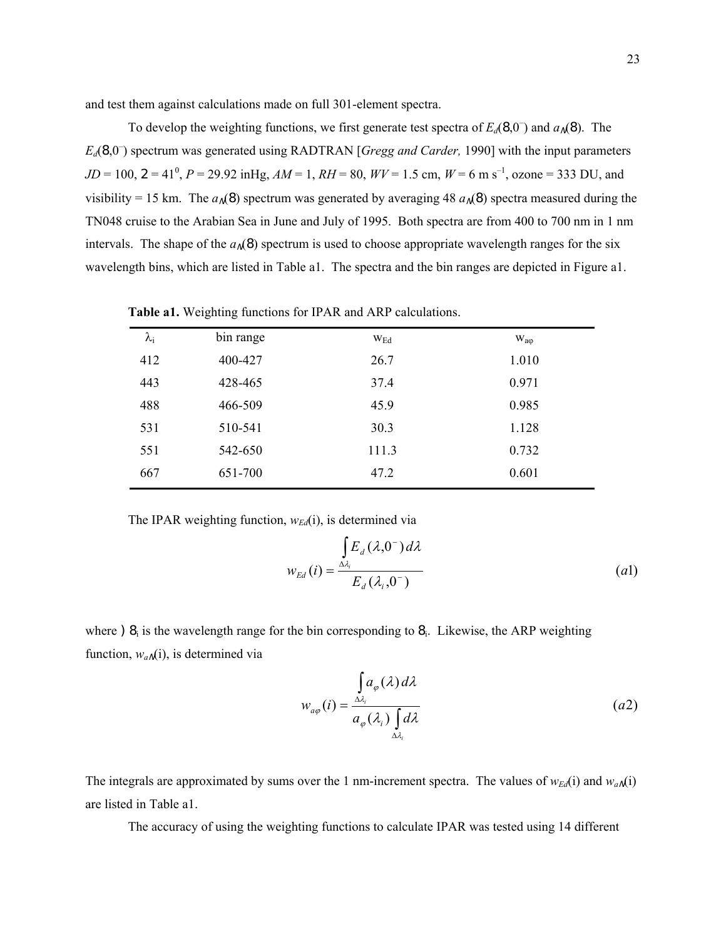and test them against calculations made on full 301-element spectra.

To develop the weighting functions, we first generate test spectra of  $E_d(8,0^-)$  and  $a<sub>M</sub>(8)$ . The *Ed*(8,0– ) spectrum was generated using RADTRAN [*Gregg and Carder,* 1990] with the input parameters  $JD = 100$ ,  $2 = 41^0$ ,  $P = 29.92$  inHg,  $AM = 1$ ,  $RH = 80$ ,  $WV = 1.5$  cm,  $W = 6$  m s<sup>-1</sup>, ozone = 333 DU, and visibility = 15 km. The  $a<sub>M</sub>(8)$  spectrum was generated by averaging 48  $a<sub>M</sub>(8)$  spectra measured during the TN048 cruise to the Arabian Sea in June and July of 1995. Both spectra are from 400 to 700 nm in 1 nm intervals. The shape of the  $a_M(8)$  spectrum is used to choose appropriate wavelength ranges for the six wavelength bins, which are listed in Table a1. The spectra and the bin ranges are depicted in Figure a1.

| $\lambda_i$ | bin range | W <sub>Ed</sub> | $W_{a\varphi}$ |
|-------------|-----------|-----------------|----------------|
| 412         | 400-427   | 26.7            | 1.010          |
| 443         | 428-465   | 37.4            | 0.971          |
| 488         | 466-509   | 45.9            | 0.985          |
| 531         | 510-541   | 30.3            | 1.128          |
| 551         | 542-650   | 111.3           | 0.732          |
| 667         | 651-700   | 47.2            | 0.601          |
|             |           |                 |                |

**Table a1.** Weighting functions for IPAR and ARP calculations.

The IPAR weighting function,  $w_{Ed}(i)$ , is determined via

$$
w_{Ed}(i) = \frac{\int_{\Delta \lambda_i} E_d(\lambda, 0^-) d\lambda}{E_d(\lambda_i, 0^-)}
$$
(a)

where  $\beta$  is the wavelength range for the bin corresponding to  $\beta$ . Likewise, the ARP weighting function,  $w_a$ <sup>(i)</sup>), is determined via

$$
w_{a\varphi}(i) = \frac{\int_{\Delta\lambda_i} a_{\varphi}(\lambda) d\lambda}{a_{\varphi}(\lambda_i) \int_{\Delta\lambda_i} d\lambda}
$$
 (a2)

The integrals are approximated by sums over the 1 nm-increment spectra. The values of  $w_{Ed}(i)$  and  $w_{a}\Lambda(i)$ are listed in Table a1.

The accuracy of using the weighting functions to calculate IPAR was tested using 14 different